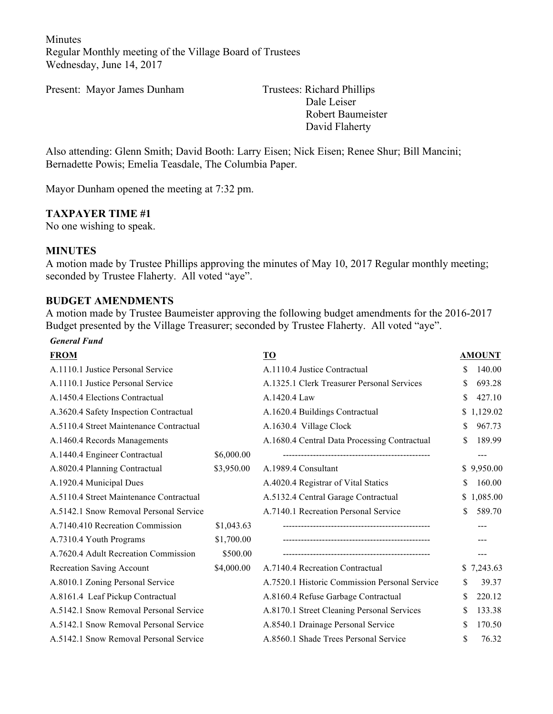Minutes Regular Monthly meeting of the Village Board of Trustees Wednesday, June 14, 2017

Present: Mayor James Dunham Trustees: Richard Phillips

Dale Leiser Robert Baumeister David Flaherty

Also attending: Glenn Smith; David Booth: Larry Eisen; Nick Eisen; Renee Shur; Bill Mancini; Bernadette Powis; Emelia Teasdale, The Columbia Paper.

Mayor Dunham opened the meeting at 7:32 pm.

#### **TAXPAYER TIME #1**

No one wishing to speak.

#### **MINUTES**

A motion made by Trustee Phillips approving the minutes of May 10, 2017 Regular monthly meeting; seconded by Trustee Flaherty. All voted "aye".

#### **BUDGET AMENDMENTS**

A motion made by Trustee Baumeister approving the following budget amendments for the 2016-2017 Budget presented by the Village Treasurer; seconded by Trustee Flaherty. All voted "aye".

#### *General Fund*

| <b>FROM</b>                             |            | T <sub>O</sub>                                |    | <b>AMOUNT</b> |
|-----------------------------------------|------------|-----------------------------------------------|----|---------------|
| A.1110.1 Justice Personal Service       |            | A.1110.4 Justice Contractual                  | \$ | 140.00        |
| A.1110.1 Justice Personal Service       |            | A.1325.1 Clerk Treasurer Personal Services    | \$ | 693.28        |
| A.1450.4 Elections Contractual          |            | A.1420.4 Law                                  | \$ | 427.10        |
| A.3620.4 Safety Inspection Contractual  |            | A.1620.4 Buildings Contractual                |    | \$1,129.02    |
| A.5110.4 Street Maintenance Contractual |            | A.1630.4 Village Clock                        | \$ | 967.73        |
| A.1460.4 Records Managements            |            | A.1680.4 Central Data Processing Contractual  | \$ | 189.99        |
| A.1440.4 Engineer Contractual           | \$6,000.00 |                                               |    | ---           |
| A.8020.4 Planning Contractual           | \$3,950.00 | A.1989.4 Consultant                           |    | \$9,950.00    |
| A.1920.4 Municipal Dues                 |            | A.4020.4 Registrar of Vital Statics           | \$ | 160.00        |
| A.5110.4 Street Maintenance Contractual |            | A.5132.4 Central Garage Contractual           |    | \$1,085.00    |
| A.5142.1 Snow Removal Personal Service  |            | A.7140.1 Recreation Personal Service          | S  | 589.70        |
| A.7140.410 Recreation Commission        | \$1,043.63 |                                               |    |               |
| A.7310.4 Youth Programs                 | \$1,700.00 |                                               |    |               |
| A.7620.4 Adult Recreation Commission    | \$500.00   |                                               |    |               |
| <b>Recreation Saving Account</b>        | \$4,000.00 | A.7140.4 Recreation Contractual               |    | \$7,243.63    |
| A.8010.1 Zoning Personal Service        |            | A.7520.1 Historic Commission Personal Service | \$ | 39.37         |
| A.8161.4 Leaf Pickup Contractual        |            | A.8160.4 Refuse Garbage Contractual           | \$ | 220.12        |
| A.5142.1 Snow Removal Personal Service  |            | A.8170.1 Street Cleaning Personal Services    | \$ | 133.38        |
| A.5142.1 Snow Removal Personal Service  |            | A.8540.1 Drainage Personal Service            | \$ | 170.50        |
| A.5142.1 Snow Removal Personal Service  |            | A.8560.1 Shade Trees Personal Service         | \$ | 76.32         |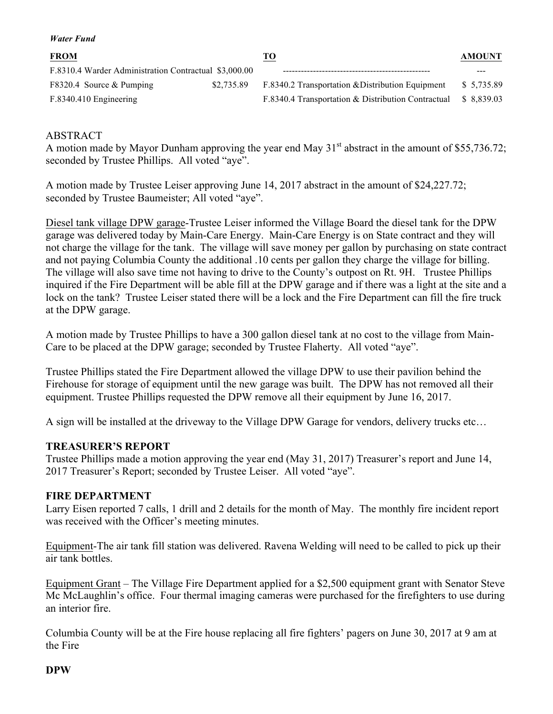| <b>FROM</b>                                           |            | <u>TO</u>                                          | <b>AMOUNT</b> |
|-------------------------------------------------------|------------|----------------------------------------------------|---------------|
| F.8310.4 Warder Administration Contractual \$3,000.00 |            |                                                    |               |
| F8320.4 Source & Pumping                              | \$2.735.89 | F.8340.2 Transportation & Distribution Equipment   | \$ 5,735.89   |
| F.8340.410 Engineering                                |            | F.8340.4 Transportation & Distribution Contractual | \$ 8.839.03   |

#### ABSTRACT

*Water Fund*

A motion made by Mayor Dunham approving the year end May  $31<sup>st</sup>$  abstract in the amount of \$55,736.72; seconded by Trustee Phillips. All voted "aye".

A motion made by Trustee Leiser approving June 14, 2017 abstract in the amount of \$24,227.72; seconded by Trustee Baumeister; All voted "aye".

Diesel tank village DPW garage-Trustee Leiser informed the Village Board the diesel tank for the DPW garage was delivered today by Main-Care Energy. Main-Care Energy is on State contract and they will not charge the village for the tank. The village will save money per gallon by purchasing on state contract and not paying Columbia County the additional .10 cents per gallon they charge the village for billing. The village will also save time not having to drive to the County's outpost on Rt. 9H. Trustee Phillips inquired if the Fire Department will be able fill at the DPW garage and if there was a light at the site and a lock on the tank? Trustee Leiser stated there will be a lock and the Fire Department can fill the fire truck at the DPW garage.

A motion made by Trustee Phillips to have a 300 gallon diesel tank at no cost to the village from Main-Care to be placed at the DPW garage; seconded by Trustee Flaherty. All voted "aye".

Trustee Phillips stated the Fire Department allowed the village DPW to use their pavilion behind the Firehouse for storage of equipment until the new garage was built. The DPW has not removed all their equipment. Trustee Phillips requested the DPW remove all their equipment by June 16, 2017.

A sign will be installed at the driveway to the Village DPW Garage for vendors, delivery trucks etc…

### **TREASURER'S REPORT**

Trustee Phillips made a motion approving the year end (May 31, 2017) Treasurer's report and June 14, 2017 Treasurer's Report; seconded by Trustee Leiser. All voted "aye".

#### **FIRE DEPARTMENT**

Larry Eisen reported 7 calls, 1 drill and 2 details for the month of May. The monthly fire incident report was received with the Officer's meeting minutes.

Equipment-The air tank fill station was delivered. Ravena Welding will need to be called to pick up their air tank bottles.

Equipment Grant – The Village Fire Department applied for a \$2,500 equipment grant with Senator Steve Mc McLaughlin's office. Four thermal imaging cameras were purchased for the firefighters to use during an interior fire.

Columbia County will be at the Fire house replacing all fire fighters' pagers on June 30, 2017 at 9 am at the Fire

#### **DPW**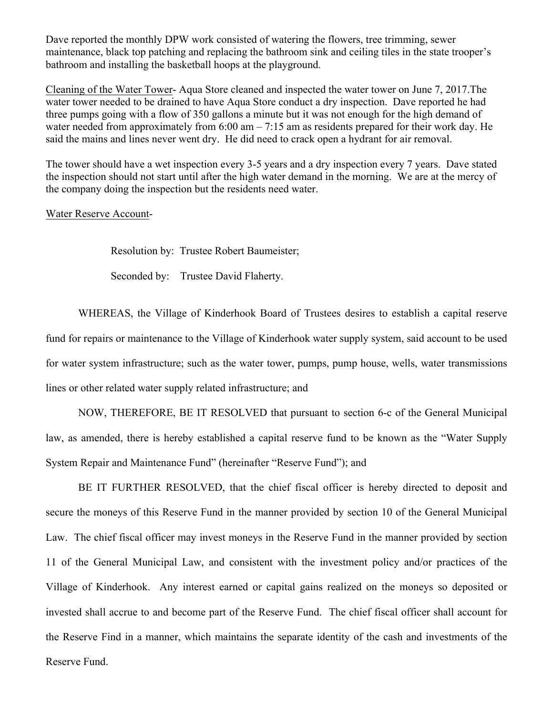Dave reported the monthly DPW work consisted of watering the flowers, tree trimming, sewer maintenance, black top patching and replacing the bathroom sink and ceiling tiles in the state trooper's bathroom and installing the basketball hoops at the playground.

Cleaning of the Water Tower- Aqua Store cleaned and inspected the water tower on June 7, 2017.The water tower needed to be drained to have Aqua Store conduct a dry inspection. Dave reported he had three pumps going with a flow of 350 gallons a minute but it was not enough for the high demand of water needed from approximately from 6:00 am – 7:15 am as residents prepared for their work day. He said the mains and lines never went dry. He did need to crack open a hydrant for air removal.

The tower should have a wet inspection every 3-5 years and a dry inspection every 7 years. Dave stated the inspection should not start until after the high water demand in the morning. We are at the mercy of the company doing the inspection but the residents need water.

#### Water Reserve Account-

Resolution by: Trustee Robert Baumeister;

Seconded by: Trustee David Flaherty.

WHEREAS, the Village of Kinderhook Board of Trustees desires to establish a capital reserve fund for repairs or maintenance to the Village of Kinderhook water supply system, said account to be used for water system infrastructure; such as the water tower, pumps, pump house, wells, water transmissions lines or other related water supply related infrastructure; and

NOW, THEREFORE, BE IT RESOLVED that pursuant to section 6-c of the General Municipal law, as amended, there is hereby established a capital reserve fund to be known as the "Water Supply System Repair and Maintenance Fund" (hereinafter "Reserve Fund"); and

BE IT FURTHER RESOLVED, that the chief fiscal officer is hereby directed to deposit and secure the moneys of this Reserve Fund in the manner provided by section 10 of the General Municipal Law. The chief fiscal officer may invest moneys in the Reserve Fund in the manner provided by section 11 of the General Municipal Law, and consistent with the investment policy and/or practices of the Village of Kinderhook. Any interest earned or capital gains realized on the moneys so deposited or invested shall accrue to and become part of the Reserve Fund. The chief fiscal officer shall account for the Reserve Find in a manner, which maintains the separate identity of the cash and investments of the Reserve Fund.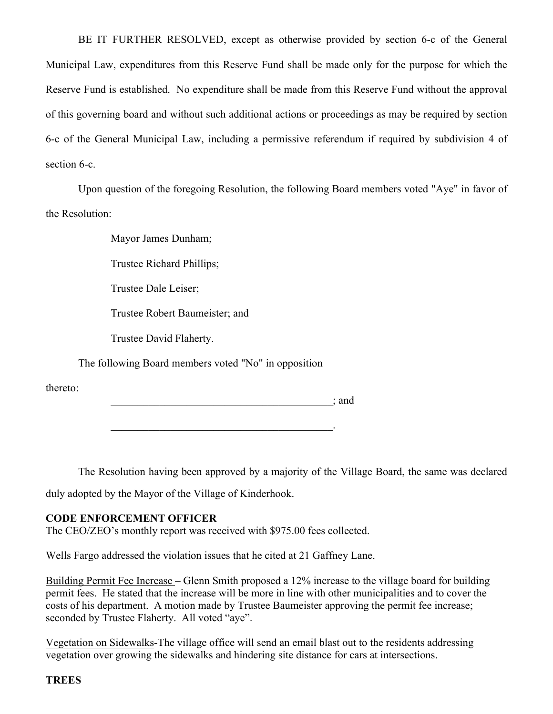BE IT FURTHER RESOLVED, except as otherwise provided by section 6-c of the General Municipal Law, expenditures from this Reserve Fund shall be made only for the purpose for which the Reserve Fund is established. No expenditure shall be made from this Reserve Fund without the approval of this governing board and without such additional actions or proceedings as may be required by section 6-c of the General Municipal Law, including a permissive referendum if required by subdivision 4 of section 6-c.

Upon question of the foregoing Resolution, the following Board members voted "Aye" in favor of the Resolution:

Mayor James Dunham;

Trustee Richard Phillips;

Trustee Dale Leiser;

Trustee Robert Baumeister; and

Trustee David Flaherty.

The following Board members voted "No" in opposition

thereto:

\_\_\_\_\_\_\_\_\_\_\_\_\_\_\_\_\_\_\_\_\_\_\_\_\_\_\_\_\_\_\_\_\_\_\_\_\_\_\_\_\_; and

 $\mathcal{L}_\text{max}$  and  $\mathcal{L}_\text{max}$  and  $\mathcal{L}_\text{max}$  and  $\mathcal{L}_\text{max}$ 

The Resolution having been approved by a majority of the Village Board, the same was declared

duly adopted by the Mayor of the Village of Kinderhook.

#### **CODE ENFORCEMENT OFFICER**

The CEO/ZEO's monthly report was received with \$975.00 fees collected.

Wells Fargo addressed the violation issues that he cited at 21 Gaffney Lane.

Building Permit Fee Increase – Glenn Smith proposed a 12% increase to the village board for building permit fees. He stated that the increase will be more in line with other municipalities and to cover the costs of his department. A motion made by Trustee Baumeister approving the permit fee increase; seconded by Trustee Flaherty. All voted "aye".

Vegetation on Sidewalks-The village office will send an email blast out to the residents addressing vegetation over growing the sidewalks and hindering site distance for cars at intersections.

**TREES**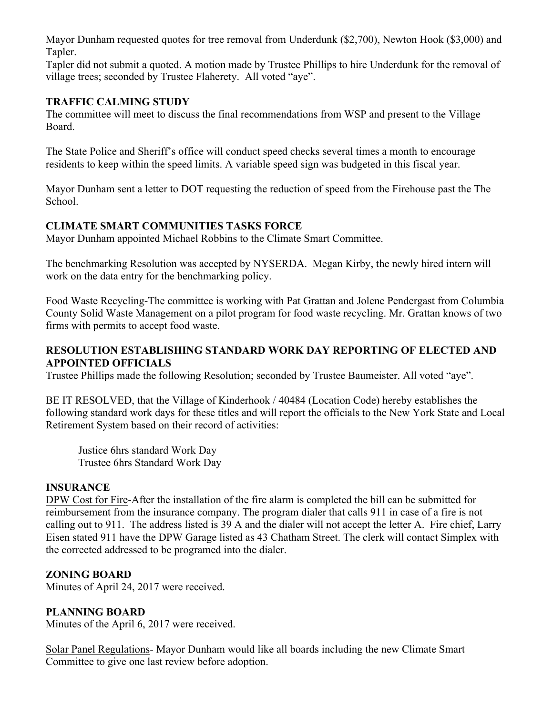Mayor Dunham requested quotes for tree removal from Underdunk (\$2,700), Newton Hook (\$3,000) and Tapler.

Tapler did not submit a quoted. A motion made by Trustee Phillips to hire Underdunk for the removal of village trees; seconded by Trustee Flaherety. All voted "aye".

### **TRAFFIC CALMING STUDY**

The committee will meet to discuss the final recommendations from WSP and present to the Village Board.

The State Police and Sheriff's office will conduct speed checks several times a month to encourage residents to keep within the speed limits. A variable speed sign was budgeted in this fiscal year.

Mayor Dunham sent a letter to DOT requesting the reduction of speed from the Firehouse past the The School.

### **CLIMATE SMART COMMUNITIES TASKS FORCE**

Mayor Dunham appointed Michael Robbins to the Climate Smart Committee.

The benchmarking Resolution was accepted by NYSERDA. Megan Kirby, the newly hired intern will work on the data entry for the benchmarking policy.

Food Waste Recycling-The committee is working with Pat Grattan and Jolene Pendergast from Columbia County Solid Waste Management on a pilot program for food waste recycling. Mr. Grattan knows of two firms with permits to accept food waste.

### **RESOLUTION ESTABLISHING STANDARD WORK DAY REPORTING OF ELECTED AND APPOINTED OFFICIALS**

Trustee Phillips made the following Resolution; seconded by Trustee Baumeister. All voted "aye".

BE IT RESOLVED, that the Village of Kinderhook / 40484 (Location Code) hereby establishes the following standard work days for these titles and will report the officials to the New York State and Local Retirement System based on their record of activities:

Justice 6hrs standard Work Day Trustee 6hrs Standard Work Day

### **INSURANCE**

DPW Cost for Fire-After the installation of the fire alarm is completed the bill can be submitted for reimbursement from the insurance company. The program dialer that calls 911 in case of a fire is not calling out to 911. The address listed is 39 A and the dialer will not accept the letter A. Fire chief, Larry Eisen stated 911 have the DPW Garage listed as 43 Chatham Street. The clerk will contact Simplex with the corrected addressed to be programed into the dialer.

### **ZONING BOARD**

Minutes of April 24, 2017 were received.

### **PLANNING BOARD**

Minutes of the April 6, 2017 were received.

Solar Panel Regulations- Mayor Dunham would like all boards including the new Climate Smart Committee to give one last review before adoption.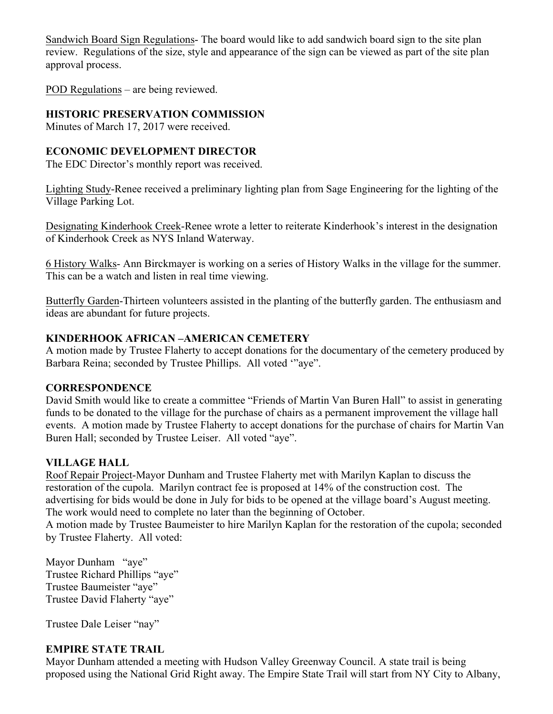Sandwich Board Sign Regulations- The board would like to add sandwich board sign to the site plan review. Regulations of the size, style and appearance of the sign can be viewed as part of the site plan approval process.

POD Regulations – are being reviewed.

# **HISTORIC PRESERVATION COMMISSION**

Minutes of March 17, 2017 were received.

## **ECONOMIC DEVELOPMENT DIRECTOR**

The EDC Director's monthly report was received.

Lighting Study-Renee received a preliminary lighting plan from Sage Engineering for the lighting of the Village Parking Lot.

Designating Kinderhook Creek-Renee wrote a letter to reiterate Kinderhook's interest in the designation of Kinderhook Creek as NYS Inland Waterway.

6 History Walks- Ann Birckmayer is working on a series of History Walks in the village for the summer. This can be a watch and listen in real time viewing.

Butterfly Garden-Thirteen volunteers assisted in the planting of the butterfly garden. The enthusiasm and ideas are abundant for future projects.

## **KINDERHOOK AFRICAN –AMERICAN CEMETERY**

A motion made by Trustee Flaherty to accept donations for the documentary of the cemetery produced by Barbara Reina; seconded by Trustee Phillips. All voted '"aye".

## **CORRESPONDENCE**

David Smith would like to create a committee "Friends of Martin Van Buren Hall" to assist in generating funds to be donated to the village for the purchase of chairs as a permanent improvement the village hall events. A motion made by Trustee Flaherty to accept donations for the purchase of chairs for Martin Van Buren Hall; seconded by Trustee Leiser. All voted "aye".

## **VILLAGE HALL**

Roof Repair Project-Mayor Dunham and Trustee Flaherty met with Marilyn Kaplan to discuss the restoration of the cupola. Marilyn contract fee is proposed at 14% of the construction cost. The advertising for bids would be done in July for bids to be opened at the village board's August meeting. The work would need to complete no later than the beginning of October.

A motion made by Trustee Baumeister to hire Marilyn Kaplan for the restoration of the cupola; seconded by Trustee Flaherty. All voted:

Mayor Dunham "aye" Trustee Richard Phillips "aye" Trustee Baumeister "aye" Trustee David Flaherty "aye"

Trustee Dale Leiser "nay"

## **EMPIRE STATE TRAIL**

Mayor Dunham attended a meeting with Hudson Valley Greenway Council. A state trail is being proposed using the National Grid Right away. The Empire State Trail will start from NY City to Albany,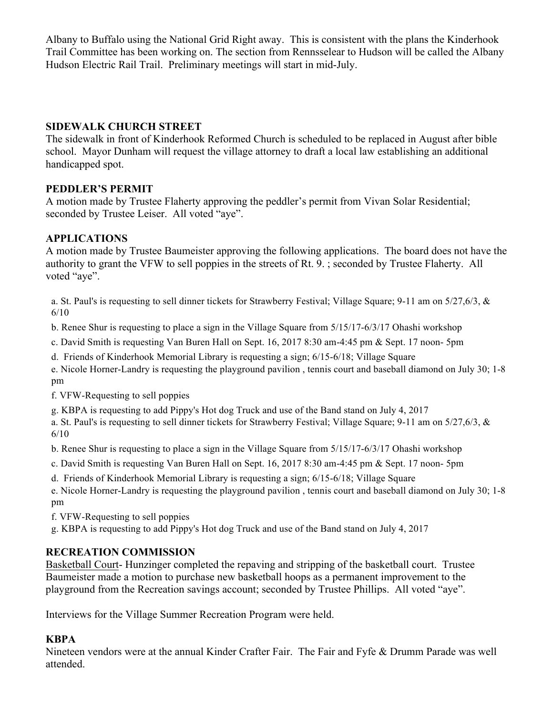Albany to Buffalo using the National Grid Right away. This is consistent with the plans the Kinderhook Trail Committee has been working on. The section from Rennsselear to Hudson will be called the Albany Hudson Electric Rail Trail. Preliminary meetings will start in mid-July.

### **SIDEWALK CHURCH STREET**

The sidewalk in front of Kinderhook Reformed Church is scheduled to be replaced in August after bible school. Mayor Dunham will request the village attorney to draft a local law establishing an additional handicapped spot.

### **PEDDLER'S PERMIT**

A motion made by Trustee Flaherty approving the peddler's permit from Vivan Solar Residential; seconded by Trustee Leiser. All voted "aye".

### **APPLICATIONS**

A motion made by Trustee Baumeister approving the following applications. The board does not have the authority to grant the VFW to sell poppies in the streets of Rt. 9. ; seconded by Trustee Flaherty. All voted "aye".

a. St. Paul's is requesting to sell dinner tickets for Strawberry Festival; Village Square; 9-11 am on 5/27,6/3, & 6/10

b. Renee Shur is requesting to place a sign in the Village Square from 5/15/17-6/3/17 Ohashi workshop

c. David Smith is requesting Van Buren Hall on Sept. 16, 2017 8:30 am-4:45 pm & Sept. 17 noon- 5pm

d. Friends of Kinderhook Memorial Library is requesting a sign; 6/15-6/18; Village Square

e. Nicole Horner-Landry is requesting the playground pavilion , tennis court and baseball diamond on July 30; 1-8 pm

f. VFW-Requesting to sell poppies

g. KBPA is requesting to add Pippy's Hot dog Truck and use of the Band stand on July 4, 2017

a. St. Paul's is requesting to sell dinner tickets for Strawberry Festival; Village Square; 9-11 am on 5/27,6/3, & 6/10

b. Renee Shur is requesting to place a sign in the Village Square from 5/15/17-6/3/17 Ohashi workshop

- c. David Smith is requesting Van Buren Hall on Sept. 16, 2017 8:30 am-4:45 pm & Sept. 17 noon- 5pm
- d. Friends of Kinderhook Memorial Library is requesting a sign; 6/15-6/18; Village Square

e. Nicole Horner-Landry is requesting the playground pavilion , tennis court and baseball diamond on July 30; 1-8 pm

f. VFW-Requesting to sell poppies

g. KBPA is requesting to add Pippy's Hot dog Truck and use of the Band stand on July 4, 2017

## **RECREATION COMMISSION**

Basketball Court- Hunzinger completed the repaving and stripping of the basketball court. Trustee Baumeister made a motion to purchase new basketball hoops as a permanent improvement to the playground from the Recreation savings account; seconded by Trustee Phillips. All voted "aye".

Interviews for the Village Summer Recreation Program were held.

## **KBPA**

Nineteen vendors were at the annual Kinder Crafter Fair. The Fair and Fyfe & Drumm Parade was well attended.